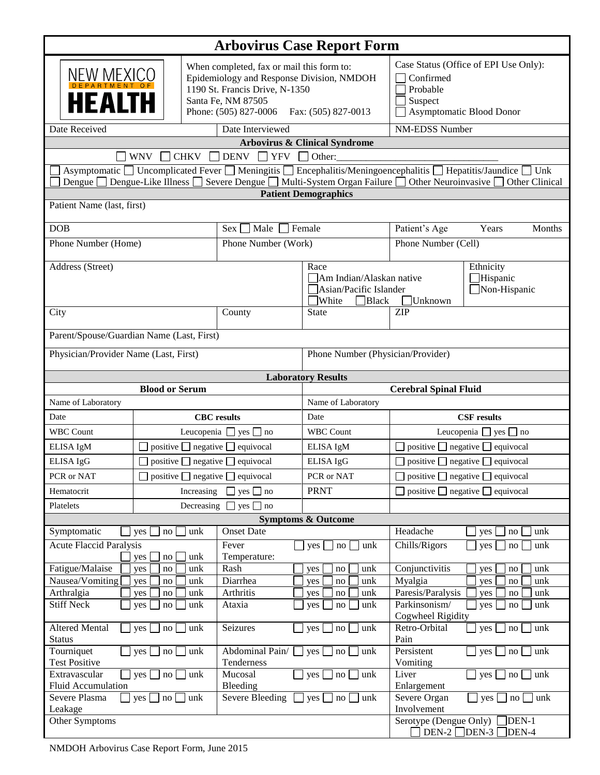| <b>Arbovirus Case Report Form</b>                                                                                                                                                                                                                      |                                                                                                                                                                                             |                                                    |                                                                              |                                                                                                       |                 |  |  |
|--------------------------------------------------------------------------------------------------------------------------------------------------------------------------------------------------------------------------------------------------------|---------------------------------------------------------------------------------------------------------------------------------------------------------------------------------------------|----------------------------------------------------|------------------------------------------------------------------------------|-------------------------------------------------------------------------------------------------------|-----------------|--|--|
| <b>NEW MEXICO</b><br><b>HEALTH</b>                                                                                                                                                                                                                     | When completed, fax or mail this form to:<br>Epidemiology and Response Division, NMDOH<br>1190 St. Francis Drive, N-1350<br>Santa Fe, NM 87505<br>Phone: (505) 827-0006 Fax: (505) 827-0013 |                                                    |                                                                              | Case Status (Office of EPI Use Only):<br>Confirmed<br>Probable<br>Suspect<br>Asymptomatic Blood Donor |                 |  |  |
| <b>NM-EDSS Number</b><br>Date Received<br>Date Interviewed                                                                                                                                                                                             |                                                                                                                                                                                             |                                                    |                                                                              |                                                                                                       |                 |  |  |
| <b>Arbovirus &amp; Clinical Syndrome</b><br><b>WNV</b><br><b>CHKV</b><br>$\Box$ DENV $\Box$ YFV $\Box$ Other:                                                                                                                                          |                                                                                                                                                                                             |                                                    |                                                                              |                                                                                                       |                 |  |  |
| Asymptomatic □ Uncomplicated Fever □ Meningitis □ Encephalitis/Meningoencephalitis □ Hepatitis/Jaundice □ Unk<br>Dengue Dengue-Like Illness Severe Dengue Multi-System Organ Failure Other Neuroinvasive Other Clinical<br><b>Patient Demographics</b> |                                                                                                                                                                                             |                                                    |                                                                              |                                                                                                       |                 |  |  |
| Patient Name (last, first)                                                                                                                                                                                                                             |                                                                                                                                                                                             |                                                    |                                                                              |                                                                                                       |                 |  |  |
| <b>DOB</b>                                                                                                                                                                                                                                             |                                                                                                                                                                                             | $Sex \square$ Male $\square$ Female                |                                                                              | Patient's Age                                                                                         | Years<br>Months |  |  |
| Phone Number (Home)                                                                                                                                                                                                                                    |                                                                                                                                                                                             | Phone Number (Work)                                |                                                                              | Phone Number (Cell)                                                                                   |                 |  |  |
| Address (Street)                                                                                                                                                                                                                                       |                                                                                                                                                                                             |                                                    | Race<br>Am Indian/Alaskan native<br>Asian/Pacific Islander<br>White<br>Black | Ethnicity<br>Hispanic<br>Non-Hispanic<br>Unknown                                                      |                 |  |  |
| City                                                                                                                                                                                                                                                   |                                                                                                                                                                                             | County                                             | <b>State</b>                                                                 | <b>ZIP</b>                                                                                            |                 |  |  |
| Parent/Spouse/Guardian Name (Last, First)                                                                                                                                                                                                              |                                                                                                                                                                                             |                                                    |                                                                              |                                                                                                       |                 |  |  |
| Physician/Provider Name (Last, First)                                                                                                                                                                                                                  |                                                                                                                                                                                             |                                                    | Phone Number (Physician/Provider)                                            |                                                                                                       |                 |  |  |
| <b>Laboratory Results</b>                                                                                                                                                                                                                              |                                                                                                                                                                                             |                                                    |                                                                              |                                                                                                       |                 |  |  |
|                                                                                                                                                                                                                                                        | <b>Blood or Serum</b>                                                                                                                                                                       |                                                    | <b>Cerebral Spinal Fluid</b>                                                 |                                                                                                       |                 |  |  |
| Name of Laboratory                                                                                                                                                                                                                                     |                                                                                                                                                                                             |                                                    | Name of Laboratory                                                           |                                                                                                       |                 |  |  |
| Date                                                                                                                                                                                                                                                   |                                                                                                                                                                                             | <b>CBC</b> results<br>Date                         |                                                                              | <b>CSF</b> results                                                                                    |                 |  |  |
| <b>WBC Count</b>                                                                                                                                                                                                                                       | Leucopenia $\Box$ yes $\Box$ no                                                                                                                                                             |                                                    | <b>WBC Count</b>                                                             | Leucopenia $\Box$ yes $\Box$ no                                                                       |                 |  |  |
| ELISA IgM                                                                                                                                                                                                                                              | $\Box$ positive $\Box$ negative $\Box$ equivocal                                                                                                                                            |                                                    | $\Box$ positive $\Box$ negative $\Box$ equivocal<br>ELISA IgM                |                                                                                                       |                 |  |  |
| ELISA IgG                                                                                                                                                                                                                                              | $\Box$ positive $\Box$ negative $\Box$ equivocal                                                                                                                                            |                                                    | ELISA IgG                                                                    | $\Box$ positive $\Box$ negative $\Box$ equivocal                                                      |                 |  |  |
|                                                                                                                                                                                                                                                        | $\Box$ positive $\Box$ negative $\Box$ equivocal<br>PCR or NAT                                                                                                                              |                                                    | PCR or NAT                                                                   | $\Box$ positive $\Box$ negative $\Box$ equivocal                                                      |                 |  |  |
| Hematocrit                                                                                                                                                                                                                                             | Increasing<br>$\Box$ yes $\Box$ no                                                                                                                                                          |                                                    | <b>PRNT</b><br>$\Box$ positive $\Box$ negative $\Box$ equivocal              |                                                                                                       |                 |  |  |
| Platelets<br>Decreasing $\Box$ yes $\Box$ no                                                                                                                                                                                                           |                                                                                                                                                                                             |                                                    |                                                                              |                                                                                                       |                 |  |  |
| Symptomatic                                                                                                                                                                                                                                            | unk<br>yes<br>no                                                                                                                                                                            | <b>Onset Date</b>                                  | <b>Symptoms &amp; Outcome</b>                                                | Headache<br>yes                                                                                       | unk<br>no       |  |  |
| <b>Acute Flaccid Paralysis</b>                                                                                                                                                                                                                         |                                                                                                                                                                                             | Fever                                              | $yes \Box$<br>$\mathbf{no}$<br>unk                                           | Chills/Rigors<br>yes                                                                                  | unk<br>no       |  |  |
| no<br>unk<br>yes                                                                                                                                                                                                                                       |                                                                                                                                                                                             | Temperature:                                       |                                                                              |                                                                                                       |                 |  |  |
| Fatigue/Malaise                                                                                                                                                                                                                                        | unk<br>yes<br>no                                                                                                                                                                            | Rash                                               | yes<br>$\mathbf{no}$<br>unk                                                  | Conjunctivitis<br>yes                                                                                 | unk<br>no       |  |  |
| Nausea/Vomiting                                                                                                                                                                                                                                        | yes<br>no<br>unk                                                                                                                                                                            | Diarrhea                                           | no<br>unk<br>yes                                                             | Myalgia<br>yes                                                                                        | unk<br>no       |  |  |
| Arthralgia                                                                                                                                                                                                                                             | yes<br>unk<br>no                                                                                                                                                                            | Arthritis                                          | unk<br>yes<br>no                                                             | Paresis/Paralysis<br>yes                                                                              | unk<br>no       |  |  |
| <b>Stiff Neck</b>                                                                                                                                                                                                                                      | unk<br>yes<br>no                                                                                                                                                                            | Ataxia                                             | unk<br>yes<br>no                                                             | Parkinsonism/<br>yes<br>Cogwheel Rigidity                                                             | unk<br>no       |  |  |
| Altered Mental<br>unk<br>yes<br>no<br><b>Status</b>                                                                                                                                                                                                    |                                                                                                                                                                                             | Seizures<br>yes [<br>unk<br>$\mathop{\mathrm{no}}$ |                                                                              | Retro-Orbital<br>unk<br>yes<br>no<br>Pain                                                             |                 |  |  |
| Tourniquet<br><b>Test Positive</b>                                                                                                                                                                                                                     | yes<br>unk<br>no                                                                                                                                                                            | Abdominal Pain/ yes no<br>unk<br>Tenderness        |                                                                              | Persistent<br>unk<br>$\Box$ no $\Box$<br>yes<br>Vomiting                                              |                 |  |  |
| Extravascular<br>yes $\Box$ no [<br>unk<br>Fluid Accumulation                                                                                                                                                                                          |                                                                                                                                                                                             | Mucosal<br>$yes \Box$ no<br>unk<br>Bleeding        |                                                                              | Liver<br>unk<br>$\vert$ no $\vert$<br>yes<br>Enlargement                                              |                 |  |  |
| Severe Plasma<br>$yes \Box no \Box$<br>unk<br>Leakage                                                                                                                                                                                                  |                                                                                                                                                                                             | Severe Bleeding                                    | Severe Organ<br>yes<br>unk<br>yes<br>unk<br>no<br>$\ln$<br>Involvement       |                                                                                                       |                 |  |  |
| Other Symptoms                                                                                                                                                                                                                                         |                                                                                                                                                                                             |                                                    |                                                                              | Serotype (Dengue Only) $\Box$<br>$\overline{DEN-1}$<br>$DEN-2$ DEN-3 DEN-4                            |                 |  |  |